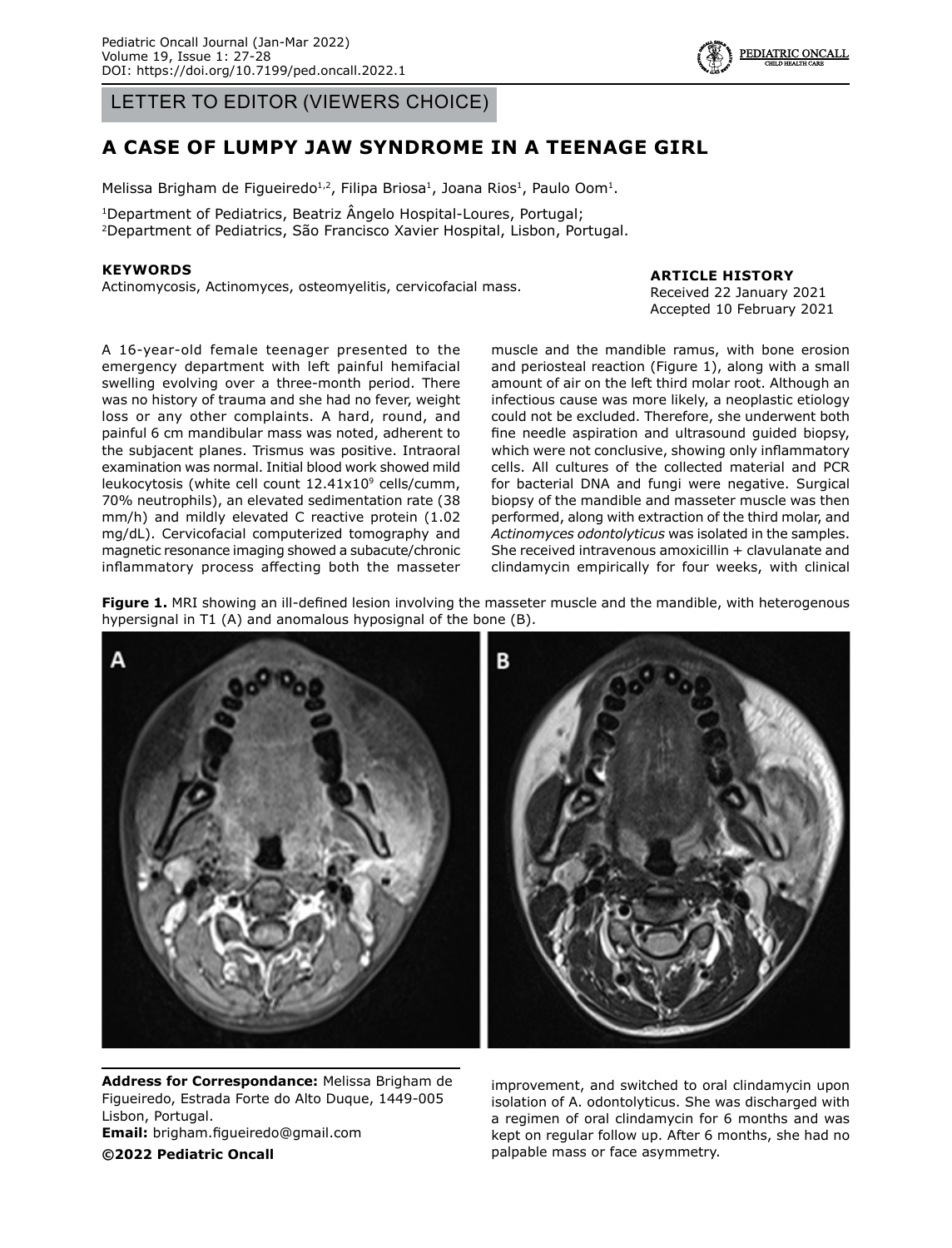LETTER TO EDITOR (VIEWERS CHOICE)

# **A CASE OF LUMPY JAW SYNDROME IN A TEENAGE GIRL**

Melissa Brigham de Figueiredo<sup>1,2</sup>, Filipa Briosa<sup>1</sup>, Joana Rios<sup>1</sup>, Paulo Oom<sup>1</sup>.

1Department of Pediatrics, Beatriz Ângelo Hospital-Loures, Portugal; 2Department of Pediatrics, São Francisco Xavier Hospital, Lisbon, Portugal.

#### **KEYWORDS**

Actinomycosis, Actinomyces, osteomyelitis, cervicofacial mass.

#### **ARTICLE HISTORY**

Received 22 January 2021 Accepted 10 February 2021

A 16-year-old female teenager presented to the emergency department with left painful hemifacial swelling evolving over a three-month period. There was no history of trauma and she had no fever, weight loss or any other complaints. A hard, round, and painful 6 cm mandibular mass was noted, adherent to the subjacent planes. Trismus was positive. Intraoral examination was normal. Initial blood work showed mild leukocytosis (white cell count  $12.41x10^9$  cells/cumm, 70% neutrophils), an elevated sedimentation rate (38 mm/h) and mildly elevated C reactive protein (1.02 mg/dL). Cervicofacial computerized tomography and magnetic resonance imaging showed a subacute/chronic inflammatory process affecting both the masseter

muscle and the mandible ramus, with bone erosion and periosteal reaction (Figure 1), along with a small amount of air on the left third molar root. Although an infectious cause was more likely, a neoplastic etiology could not be excluded. Therefore, she underwent both fine needle aspiration and ultrasound guided biopsy, which were not conclusive, showing only inflammatory cells. All cultures of the collected material and PCR for bacterial DNA and fungi were negative. Surgical biopsy of the mandible and masseter muscle was then performed, along with extraction of the third molar, and *Actinomyces odontolyticus* was isolated in the samples. She received intravenous amoxicillin + clavulanate and clindamycin empirically for four weeks, with clinical

**Figure 1.** MRI showing an ill-defined lesion involving the masseter muscle and the mandible, with heterogenous hypersignal in T1 (A) and anomalous hyposignal of the bone (B).

**Address for Correspondance:** Melissa Brigham de

Figueiredo, Estrada Forte do Alto Duque, 1449-005 Lisbon, Portugal. **Email:** brigham.figueiredo@gmail.com **©2022 Pediatric Oncall**

improvement, and switched to oral clindamycin upon isolation of A. odontolyticus. She was discharged with a regimen of oral clindamycin for 6 months and was kept on regular follow up. After 6 months, she had no palpable mass or face asymmetry.